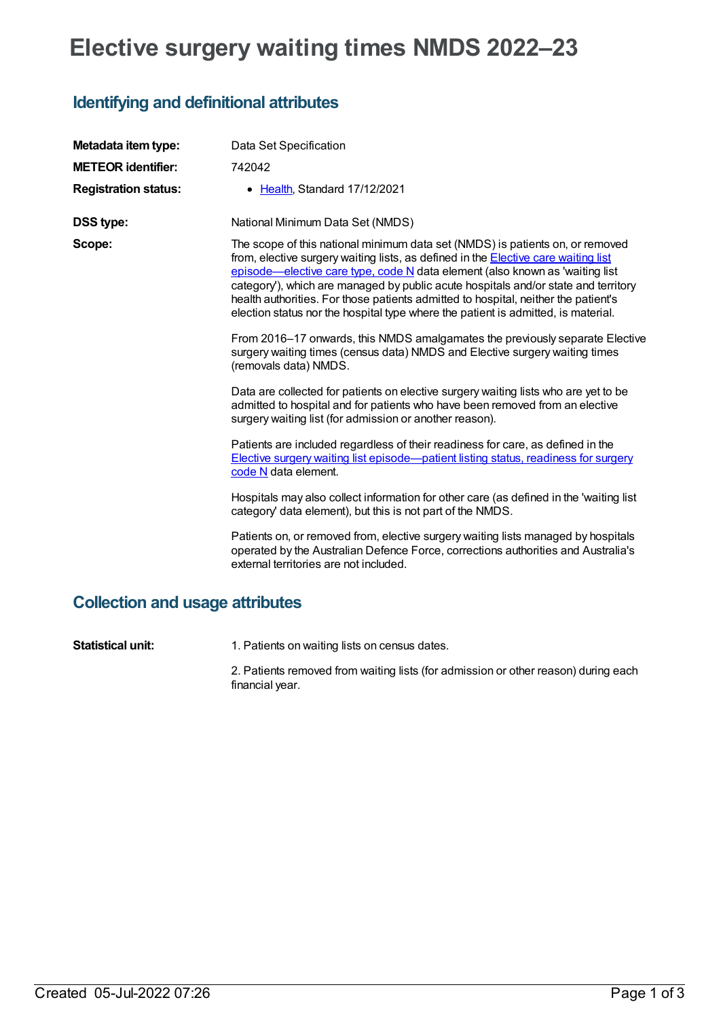# **Elective surgery waiting times NMDS 2022–23**

### **Identifying and definitional attributes**

| Metadata item type:         | Data Set Specification                                                                                                                                                                                                                                                                                                                                                                                                                                                                                                      |
|-----------------------------|-----------------------------------------------------------------------------------------------------------------------------------------------------------------------------------------------------------------------------------------------------------------------------------------------------------------------------------------------------------------------------------------------------------------------------------------------------------------------------------------------------------------------------|
| <b>METEOR identifier:</b>   | 742042                                                                                                                                                                                                                                                                                                                                                                                                                                                                                                                      |
| <b>Registration status:</b> | • Health, Standard 17/12/2021                                                                                                                                                                                                                                                                                                                                                                                                                                                                                               |
| <b>DSS type:</b>            | National Minimum Data Set (NMDS)                                                                                                                                                                                                                                                                                                                                                                                                                                                                                            |
| Scope:                      | The scope of this national minimum data set (NMDS) is patients on, or removed<br>from, elective surgery waiting lists, as defined in the <b>Elective care waiting list</b><br>episode—elective care type, code N data element (also known as 'waiting list<br>category'), which are managed by public acute hospitals and/or state and territory<br>health authorities. For those patients admitted to hospital, neither the patient's<br>election status nor the hospital type where the patient is admitted, is material. |
|                             | From 2016–17 onwards, this NMDS amalgamates the previously separate Elective<br>surgery waiting times (census data) NMDS and Elective surgery waiting times<br>(removals data) NMDS.                                                                                                                                                                                                                                                                                                                                        |
|                             | Data are collected for patients on elective surgery waiting lists who are yet to be<br>admitted to hospital and for patients who have been removed from an elective<br>surgery waiting list (for admission or another reason).                                                                                                                                                                                                                                                                                              |
|                             | Patients are included regardless of their readiness for care, as defined in the<br>Elective surgery waiting list episode—patient listing status, readiness for surgery<br>code N data element.                                                                                                                                                                                                                                                                                                                              |
|                             | Hospitals may also collect information for other care (as defined in the 'waiting list<br>category' data element), but this is not part of the NMDS.                                                                                                                                                                                                                                                                                                                                                                        |
|                             | Patients on, or removed from, elective surgery waiting lists managed by hospitals<br>operated by the Australian Defence Force, corrections authorities and Australia's<br>external territories are not included.                                                                                                                                                                                                                                                                                                            |
|                             |                                                                                                                                                                                                                                                                                                                                                                                                                                                                                                                             |

## **Collection and usage attributes**

**Statistical unit:** 1. Patients on waiting lists on census dates.

2. Patients removed from waiting lists (for admission or other reason) during each financial year.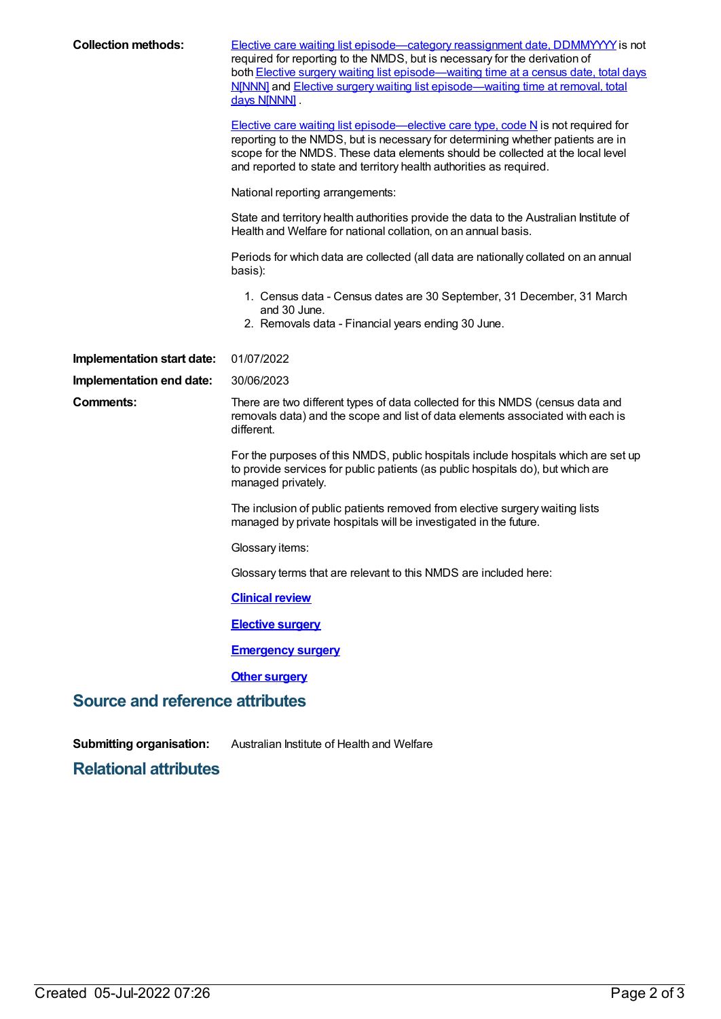| <b>Collection methods:</b>             | <b>Elective care waiting list episode—category reassignment date, DDMMYYYY</b> is not<br>required for reporting to the NMDS, but is necessary for the derivation of<br>both Elective surgery waiting list episode—waiting time at a census date, total days<br>N[NNN] and Elective surgery waiting list episode-waiting time at removal, total<br>days N[NNN] |  |  |  |
|----------------------------------------|---------------------------------------------------------------------------------------------------------------------------------------------------------------------------------------------------------------------------------------------------------------------------------------------------------------------------------------------------------------|--|--|--|
|                                        | Elective care waiting list episode—elective care type, code $N$ is not required for<br>reporting to the NMDS, but is necessary for determining whether patients are in<br>scope for the NMDS. These data elements should be collected at the local level<br>and reported to state and territory health authorities as required.                               |  |  |  |
|                                        | National reporting arrangements:                                                                                                                                                                                                                                                                                                                              |  |  |  |
|                                        | State and territory health authorities provide the data to the Australian Institute of<br>Health and Welfare for national collation, on an annual basis.                                                                                                                                                                                                      |  |  |  |
|                                        | Periods for which data are collected (all data are nationally collated on an annual<br>basis):                                                                                                                                                                                                                                                                |  |  |  |
|                                        | 1. Census data - Census dates are 30 September, 31 December, 31 March<br>and 30 June.<br>2. Removals data - Financial years ending 30 June.                                                                                                                                                                                                                   |  |  |  |
| Implementation start date:             | 01/07/2022                                                                                                                                                                                                                                                                                                                                                    |  |  |  |
| Implementation end date:               | 30/06/2023                                                                                                                                                                                                                                                                                                                                                    |  |  |  |
| <b>Comments:</b>                       | There are two different types of data collected for this NMDS (census data and<br>removals data) and the scope and list of data elements associated with each is<br>different.                                                                                                                                                                                |  |  |  |
|                                        | For the purposes of this NMDS, public hospitals include hospitals which are set up<br>to provide services for public patients (as public hospitals do), but which are<br>managed privately.                                                                                                                                                                   |  |  |  |
|                                        | The inclusion of public patients removed from elective surgery waiting lists<br>managed by private hospitals will be investigated in the future.                                                                                                                                                                                                              |  |  |  |
|                                        | Glossary items:                                                                                                                                                                                                                                                                                                                                               |  |  |  |
|                                        | Glossary terms that are relevant to this NMDS are included here:                                                                                                                                                                                                                                                                                              |  |  |  |
|                                        | <b>Clinical review</b>                                                                                                                                                                                                                                                                                                                                        |  |  |  |
|                                        | <b>Elective surgery</b>                                                                                                                                                                                                                                                                                                                                       |  |  |  |
|                                        | <b>Emergency surgery</b>                                                                                                                                                                                                                                                                                                                                      |  |  |  |
|                                        | <b>Other surgery</b>                                                                                                                                                                                                                                                                                                                                          |  |  |  |
| <b>Source and reference attributes</b> |                                                                                                                                                                                                                                                                                                                                                               |  |  |  |

**Submitting organisation:** Australian Institute of Health and Welfare

**Relational attributes**